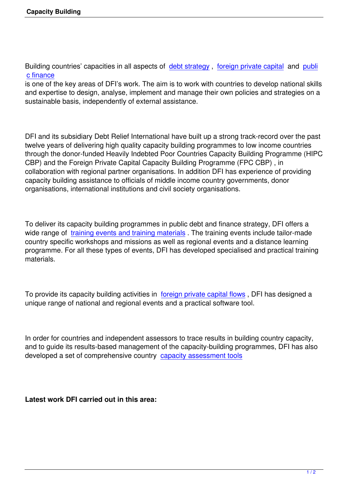Building countries' capacities in all aspects of debt strategy, foreign private capital and publi c finance

is one of the key areas of DFI's work. The aim is to work with countries to develop national skills and expertise to design, analyse, implement a[nd manage th](index.php?option=com_content&view=article&id=66:debt-strategy-overview-&catid=50&Itemid=2)ei[r own policies and stra](index.php?option=com_content&view=article&id=189&Itemid=6&lang=en)tegie[s on a](index.php?option=com_content&view=article&id=156&Itemid=800&lang=en) [sustainab](index.php?option=com_content&view=article&id=156&Itemid=800&lang=en)le basis, independently of external assistance.

DFI and its subsidiary Debt Relief International have built up a strong track-record over the past twelve years of delivering high quality capacity building programmes to low income countries through the donor-funded Heavily Indebted Poor Countries Capacity Building Programme (HIPC CBP) and the Foreign Private Capital Capacity Building Programme (FPC CBP) , in collaboration with regional partner organisations. In addition DFI has experience of providing capacity building assistance to officials of middle income country governments, donor organisations, international institutions and civil society organisations.

To deliver its capacity building programmes in public debt and finance strategy, DFI offers a wide range of training events and training materials. The training events include tailor-made country specific workshops and missions as well as regional events and a distance learning programme. For all these types of events, DFI has developed specialised and practical training materials.

To provide its capacity building activities in foreign private capital flows , DFI has designed a unique range of national and regional events and a practical software tool.

In order for countries and independent assessors to trace results in building country capacity, and to guide its results-based management of the capacity-building programmes, DFI has also developed a set of comprehensive country capacity assessment tools

**Latest work DFI carried out in this area:**